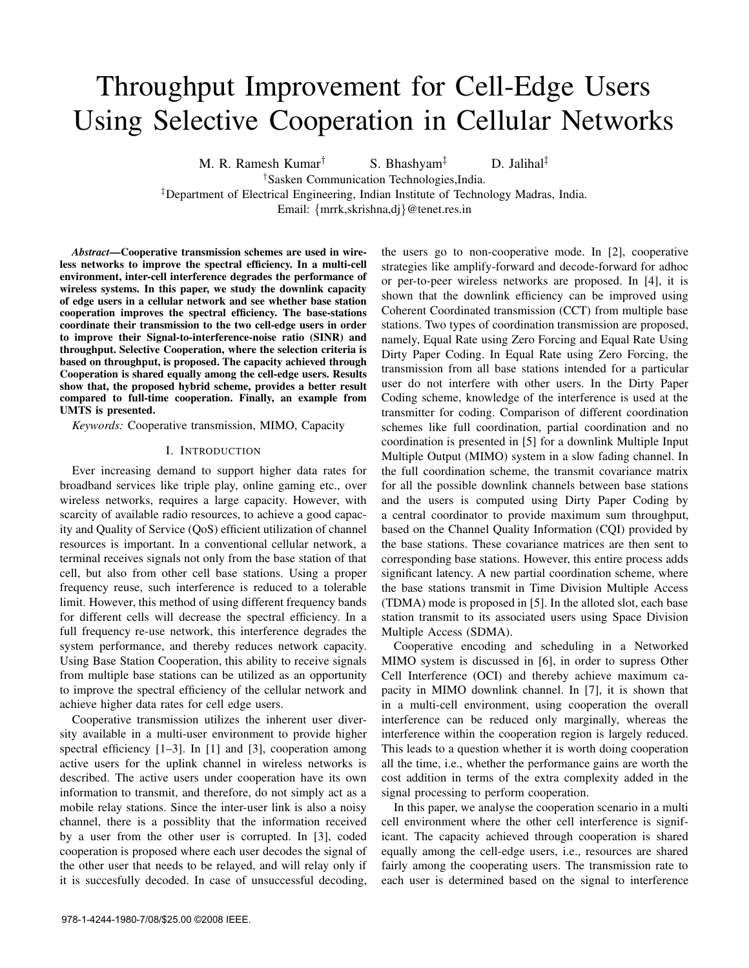# Throughput Improvement for Cell-Edge Users Using Selective Cooperation in Cellular Networks

M. R. Ramesh Kumar<sup>†</sup> S. Bhashyam<sup>‡</sup> D. Jalihal<sup>‡</sup>

†Sasken Communication Technologies,India.

‡Department of Electrical Engineering, Indian Institute of Technology Madras, India.

Email: {mrrk,skrishna,dj}@tenet.res.in

*Abstract***—Cooperative transmission schemes are used in wireless networks to improve the spectral efficiency. In a multi-cell environment, inter-cell interference degrades the performance of wireless systems. In this paper, we study the downlink capacity of edge users in a cellular network and see whether base station cooperation improves the spectral efficiency. The base-stations coordinate their transmission to the two cell-edge users in order to improve their Signal-to-interference-noise ratio (SINR) and throughput. Selective Cooperation, where the selection criteria is based on throughput, is proposed. The capacity achieved through Cooperation is shared equally among the cell-edge users. Results show that, the proposed hybrid scheme, provides a better result compared to full-time cooperation. Finally, an example from UMTS is presented.**

*Keywords:* Cooperative transmission, MIMO, Capacity

# I. INTRODUCTION

Ever increasing demand to support higher data rates for broadband services like triple play, online gaming etc., over wireless networks, requires a large capacity. However, with scarcity of available radio resources, to achieve a good capacity and Quality of Service (QoS) efficient utilization of channel resources is important. In a conventional cellular network, a terminal receives signals not only from the base station of that cell, but also from other cell base stations. Using a proper frequency reuse, such interference is reduced to a tolerable limit. However, this method of using different frequency bands for different cells will decrease the spectral efficiency. In a full frequency re-use network, this interference degrades the system performance, and thereby reduces network capacity. Using Base Station Cooperation, this ability to receive signals from multiple base stations can be utilized as an opportunity to improve the spectral efficiency of the cellular network and achieve higher data rates for cell edge users.

Cooperative transmission utilizes the inherent user diversity available in a multi-user environment to provide higher spectral efficiency [1–3]. In [1] and [3], cooperation among active users for the uplink channel in wireless networks is described. The active users under cooperation have its own information to transmit, and therefore, do not simply act as a mobile relay stations. Since the inter-user link is also a noisy channel, there is a possiblity that the information received by a user from the other user is corrupted. In [3], coded cooperation is proposed where each user decodes the signal of the other user that needs to be relayed, and will relay only if it is succesfully decoded. In case of unsuccessful decoding, the users go to non-cooperative mode. In [2], cooperative strategies like amplify-forward and decode-forward for adhoc or per-to-peer wireless networks are proposed. In [4], it is shown that the downlink efficiency can be improved using Coherent Coordinated transmission (CCT) from multiple base stations. Two types of coordination transmission are proposed, namely, Equal Rate using Zero Forcing and Equal Rate Using Dirty Paper Coding. In Equal Rate using Zero Forcing, the transmission from all base stations intended for a particular user do not interfere with other users. In the Dirty Paper Coding scheme, knowledge of the interference is used at the transmitter for coding. Comparison of different coordination schemes like full coordination, partial coordination and no coordination is presented in [5] for a downlink Multiple Input Multiple Output (MIMO) system in a slow fading channel. In the full coordination scheme, the transmit covariance matrix for all the possible downlink channels between base stations and the users is computed using Dirty Paper Coding by a central coordinator to provide maximum sum throughput, based on the Channel Quality Information (CQI) provided by the base stations. These covariance matrices are then sent to corresponding base stations. However, this entire process adds significant latency. A new partial coordination scheme, where the base stations transmit in Time Division Multiple Access (TDMA) mode is proposed in [5]. In the alloted slot, each base station transmit to its associated users using Space Division Multiple Access (SDMA).

Cooperative encoding and scheduling in a Networked MIMO system is discussed in [6], in order to supress Other Cell Interference (OCI) and thereby achieve maximum capacity in MIMO downlink channel. In [7], it is shown that in a multi-cell environment, using cooperation the overall interference can be reduced only marginally, whereas the interference within the cooperation region is largely reduced. This leads to a question whether it is worth doing cooperation all the time, i.e., whether the performance gains are worth the cost addition in terms of the extra complexity added in the signal processing to perform cooperation.

In this paper, we analyse the cooperation scenario in a multi cell environment where the other cell interference is significant. The capacity achieved through cooperation is shared equally among the cell-edge users, i.e., resources are shared fairly among the cooperating users. The transmission rate to each user is determined based on the signal to interference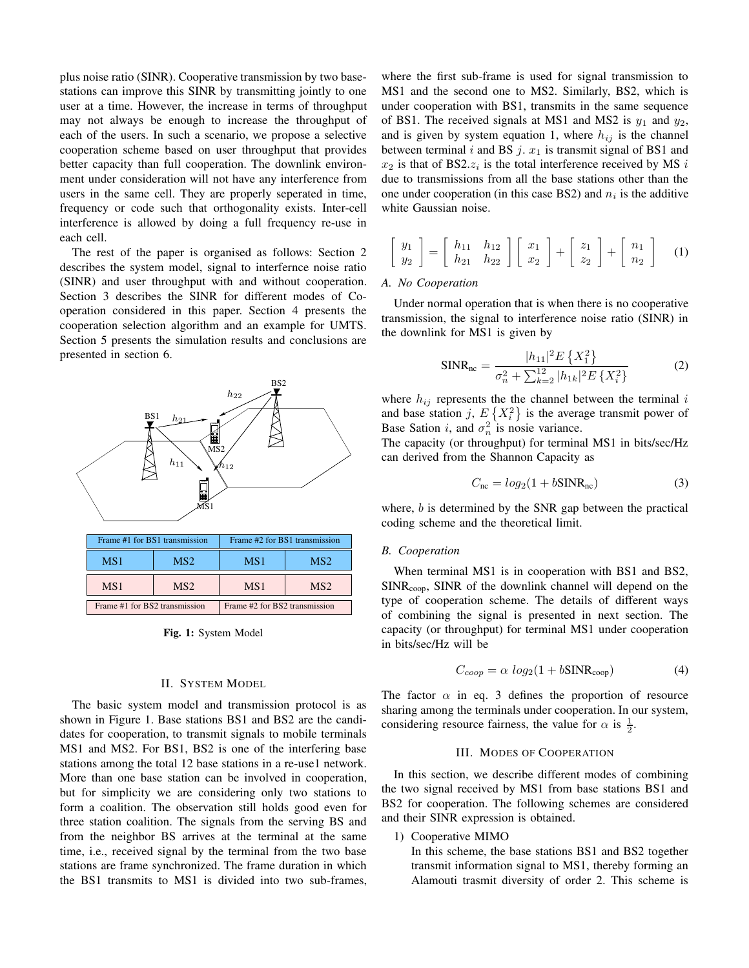plus noise ratio (SINR). Cooperative transmission by two basestations can improve this SINR by transmitting jointly to one user at a time. However, the increase in terms of throughput may not always be enough to increase the throughput of each of the users. In such a scenario, we propose a selective cooperation scheme based on user throughput that provides better capacity than full cooperation. The downlink environment under consideration will not have any interference from users in the same cell. They are properly seperated in time, frequency or code such that orthogonality exists. Inter-cell interference is allowed by doing a full frequency re-use in each cell.

The rest of the paper is organised as follows: Section 2 describes the system model, signal to interfernce noise ratio (SINR) and user throughput with and without cooperation. Section 3 describes the SINR for different modes of Cooperation considered in this paper. Section 4 presents the cooperation selection algorithm and an example for UMTS. Section 5 presents the simulation results and conclusions are presented in section 6.



| Frame #1 for BS1 transmission |                 | Frame #2 for BS1 transmission |                 |
|-------------------------------|-----------------|-------------------------------|-----------------|
| MS <sub>1</sub>               | MS2             | MS1                           | MS <sub>2</sub> |
| MS <sub>1</sub>               | MS <sub>2</sub> | MS1                           | MS <sub>2</sub> |
| Frame #1 for BS2 transmission |                 | Frame #2 for BS2 transmission |                 |

**Fig. 1:** System Model

# II. SYSTEM MODEL

The basic system model and transmission protocol is as shown in Figure 1. Base stations BS1 and BS2 are the candidates for cooperation, to transmit signals to mobile terminals MS1 and MS2. For BS1, BS2 is one of the interfering base stations among the total 12 base stations in a re-use1 network. More than one base station can be involved in cooperation, but for simplicity we are considering only two stations to form a coalition. The observation still holds good even for three station coalition. The signals from the serving BS and from the neighbor BS arrives at the terminal at the same time, i.e., received signal by the terminal from the two base stations are frame synchronized. The frame duration in which the BS1 transmits to MS1 is divided into two sub-frames,

where the first sub-frame is used for signal transmission to MS1 and the second one to MS2. Similarly, BS2, which is under cooperation with BS1, transmits in the same sequence of BS1. The received signals at MS1 and MS2 is  $y_1$  and  $y_2$ , and is given by system equation 1, where  $h_{ij}$  is the channel between terminal i and BS j.  $x_1$  is transmit signal of BS1 and  $x_2$  is that of BS2. $z_i$  is the total interference received by MS is due to transmissions from all the base stations other than the one under cooperation (in this case BS2) and  $n_i$  is the additive white Gaussian noise.

$$
\left[\begin{array}{c}y_1\\y_2\end{array}\right]=\left[\begin{array}{cc}h_{11}&h_{12}\\h_{21}&h_{22}\end{array}\right]\left[\begin{array}{c}x_1\\x_2\end{array}\right]+\left[\begin{array}{c}z_1\\z_2\end{array}\right]+\left[\begin{array}{c}n_1\\n_2\end{array}\right]
$$
 (1)

#### *A. No Cooperation*

Under normal operation that is when there is no cooperative transmission, the signal to interference noise ratio (SINR) in the downlink for MS1 is given by

$$
SINR_{nc} = \frac{|h_{11}|^2 E\left\{X_1^2\right\}}{\sigma_n^2 + \sum_{k=2}^{12} |h_{1k}|^2 E\left\{X_i^2\right\}} \tag{2}
$$

where  $h_{ij}$  represents the the channel between the terminal i and base station j,  $E\left\{X_i^2\right\}$  is the average transmit power of Base Sation *i*, and  $\sigma_n^2$  is nosie variance.

The capacity (or throughput) for terminal MS1 in bits/sec/Hz can derived from the Shannon Capacity as

$$
C_{\rm nc} = \log_2(1 + b\text{SINR}_{\rm nc})\tag{3}
$$

where,  $b$  is determined by the SNR gap between the practical coding scheme and the theoretical limit.

# *B. Cooperation*

When terminal MS1 is in cooperation with BS1 and BS2,  $SINR<sub>coon</sub>$ ,  $SINR$  of the downlink channel will depend on the type of cooperation scheme. The details of different ways of combining the signal is presented in next section. The capacity (or throughput) for terminal MS1 under cooperation in bits/sec/Hz will be

$$
C_{coop} = \alpha \ log_2(1 + bSINR_{coop})
$$
 (4)

The factor  $\alpha$  in eq. 3 defines the proportion of resource sharing among the terminals under cooperation. In our system, considering resource fairness, the value for  $\alpha$  is  $\frac{1}{2}$ .

### III. MODES OF COOPERATION

In this section, we describe different modes of combining the two signal received by MS1 from base stations BS1 and BS2 for cooperation. The following schemes are considered and their SINR expression is obtained.

1) Cooperative MIMO

In this scheme, the base stations BS1 and BS2 together transmit information signal to MS1, thereby forming an Alamouti trasmit diversity of order 2. This scheme is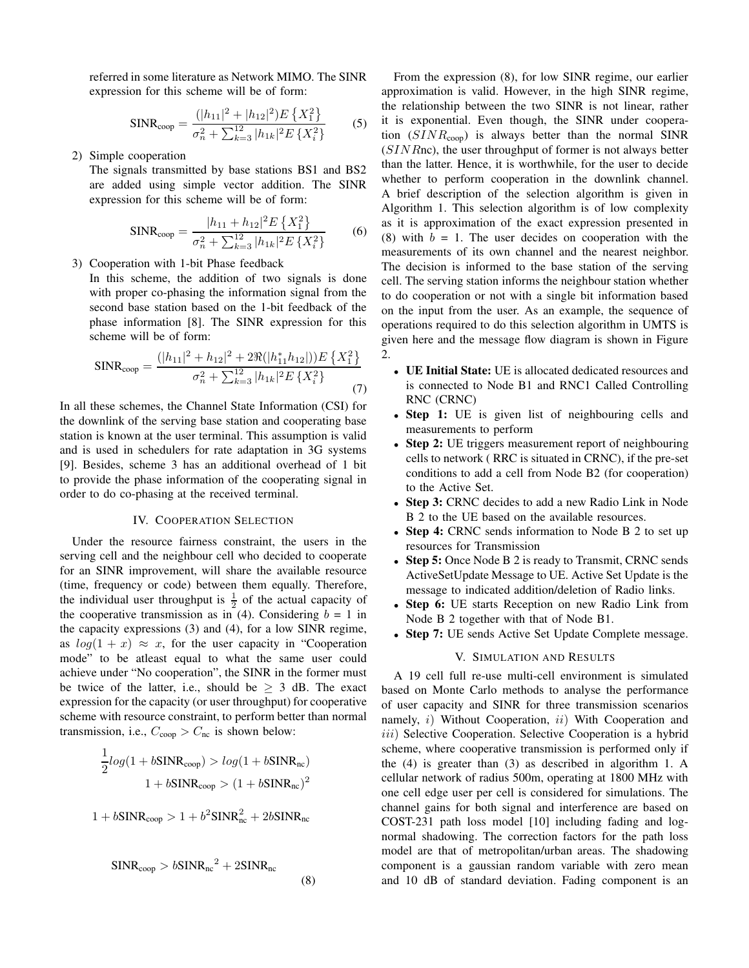referred in some literature as Network MIMO. The SINR expression for this scheme will be of form:

$$
\text{SINR}_{\text{coop}} = \frac{(|h_{11}|^2 + |h_{12}|^2)E\left\{X_1^2\right\}}{\sigma_n^2 + \sum_{k=3}^{12} |h_{1k}|^2 E\left\{X_i^2\right\}} \tag{5}
$$

2) Simple cooperation

The signals transmitted by base stations BS1 and BS2 are added using simple vector addition. The SINR expression for this scheme will be of form:

$$
\text{SINR}_{\text{coop}} = \frac{|h_{11} + h_{12}|^2 E\left\{X_1^2\right\}}{\sigma_n^2 + \sum_{k=3}^{12} |h_{1k}|^2 E\left\{X_i^2\right\}} \tag{6}
$$

3) Cooperation with 1-bit Phase feedback

In this scheme, the addition of two signals is done with proper co-phasing the information signal from the second base station based on the 1-bit feedback of the phase information [8]. The SINR expression for this scheme will be of form:

$$
SINR_{coop} = \frac{(|h_{11}|^2 + h_{12}|^2 + 2\Re(|h_{11}^* h_{12}|))E\left\{X_1^2\right\}}{\sigma_n^2 + \sum_{k=3}^{12} |h_{1k}|^2 E\left\{X_i^2\right\}} \tag{7}
$$

In all these schemes, the Channel State Information (CSI) for the downlink of the serving base station and cooperating base station is known at the user terminal. This assumption is valid and is used in schedulers for rate adaptation in 3G systems [9]. Besides, scheme 3 has an additional overhead of 1 bit to provide the phase information of the cooperating signal in order to do co-phasing at the received terminal.

#### IV. COOPERATION SELECTION

Under the resource fairness constraint, the users in the serving cell and the neighbour cell who decided to cooperate for an SINR improvement, will share the available resource (time, frequency or code) between them equally. Therefore, the individual user throughput is  $\frac{1}{2}$  of the actual capacity of the cooperative transmission as in (4). Considering  $b = 1$  in the capacity expressions (3) and (4), for a low SINR regime, as  $log(1 + x) \approx x$ , for the user capacity in "Cooperation" mode" to be atleast equal to what the same user could achieve under "No cooperation", the SINR in the former must be twice of the latter, i.e., should be  $> 3$  dB. The exact expression for the capacity (or user throughput) for cooperative scheme with resource constraint, to perform better than normal transmission, i.e.,  $C_{\text{coop}} > C_{\text{nc}}$  is shown below:

$$
\frac{1}{2}log(1 + bSINR_{coop}) > log(1 + bSINR_{nc})
$$

$$
1 + bSINR_{coop} > (1 + bSINR_{nc})^2
$$

$$
1 + b\text{SINR}_{\text{coop}} > 1 + b^2\text{SINR}_{\text{nc}}^2 + 2b\text{SINR}_{\text{nc}}
$$

$$
SINR_{coop} > bSINR_{nc}^{2} + 2SINR_{nc}
$$
\n(8)

From the expression (8), for low SINR regime, our earlier approximation is valid. However, in the high SINR regime, the relationship between the two SINR is not linear, rather it is exponential. Even though, the SINR under cooperation  $(SINR_{coop})$  is always better than the normal SINR  $(SINRnc)$ , the user throughput of former is not always better than the latter. Hence, it is worthwhile, for the user to decide whether to perform cooperation in the downlink channel. A brief description of the selection algorithm is given in Algorithm 1. This selection algorithm is of low complexity as it is approximation of the exact expression presented in (8) with  $b = 1$ . The user decides on cooperation with the measurements of its own channel and the nearest neighbor. The decision is informed to the base station of the serving cell. The serving station informs the neighbour station whether to do cooperation or not with a single bit information based on the input from the user. As an example, the sequence of operations required to do this selection algorithm in UMTS is given here and the message flow diagram is shown in Figure 2.

- **UE Initial State:** UE is allocated dedicated resources and is connected to Node B1 and RNC1 Called Controlling RNC (CRNC)
- **Step 1:** UE is given list of neighbouring cells and measurements to perform
- **Step 2:** UE triggers measurement report of neighbouring cells to network ( RRC is situated in CRNC), if the pre-set conditions to add a cell from Node B2 (for cooperation) to the Active Set.
- **Step 3: CRNC** decides to add a new Radio Link in Node B 2 to the UE based on the available resources.
- **Step 4:** CRNC sends information to Node B 2 to set up resources for Transmission
- **Step 5:** Once Node B 2 is ready to Transmit, CRNC sends ActiveSetUpdate Message to UE. Active Set Update is the message to indicated addition/deletion of Radio links.
- **Step 6:** UE starts Reception on new Radio Link from Node B 2 together with that of Node B1.
- **Step 7:** UE sends Active Set Update Complete message.

# V. SIMULATION AND RESULTS

A 19 cell full re-use multi-cell environment is simulated based on Monte Carlo methods to analyse the performance of user capacity and SINR for three transmission scenarios namely,  $i)$  Without Cooperation,  $ii)$  With Cooperation and  $iii)$  Selective Cooperation. Selective Cooperation is a hybrid scheme, where cooperative transmission is performed only if the (4) is greater than (3) as described in algorithm 1. A cellular network of radius 500m, operating at 1800 MHz with one cell edge user per cell is considered for simulations. The channel gains for both signal and interference are based on COST-231 path loss model [10] including fading and lognormal shadowing. The correction factors for the path loss model are that of metropolitan/urban areas. The shadowing component is a gaussian random variable with zero mean and 10 dB of standard deviation. Fading component is an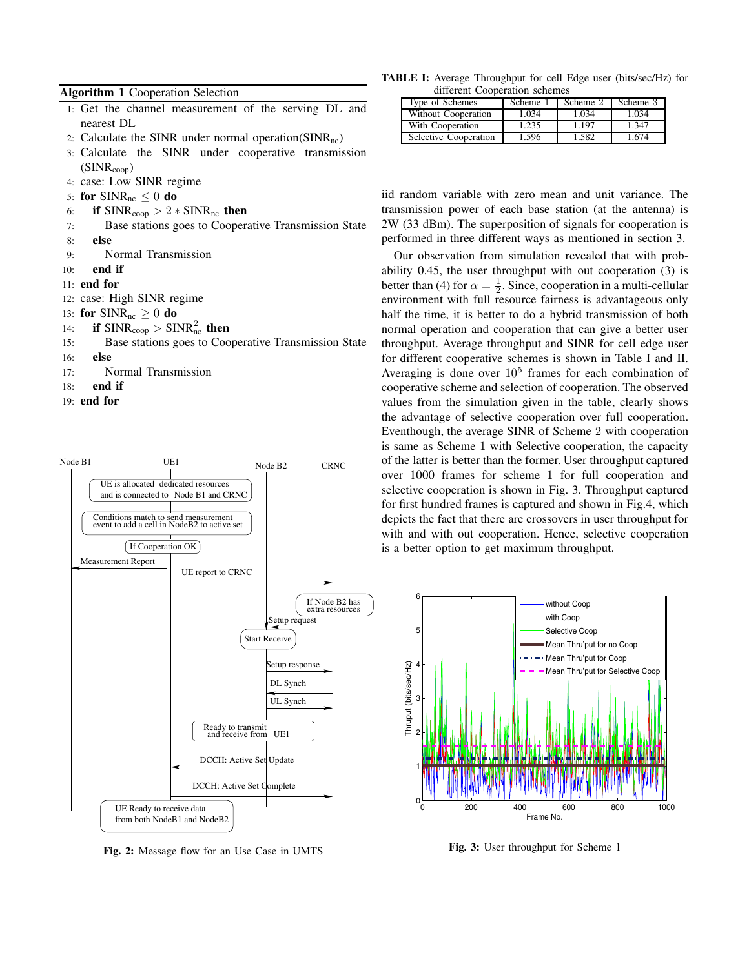# **Algorithm 1** Cooperation Selection

- 1: Get the channel measurement of the serving DL and nearest DL
- 2: Calculate the SINR under normal operation( $SINR<sub>nc</sub>$ )
- 3: Calculate the SINR under cooperative transmission  $(SINR_{\rm{coon}})$
- 4: case: Low SINR regime
- 5: **for**  $SINR_{nc} \leq 0$  **do**
- 6: **if** SINR<sub>coop</sub>  $> 2 * SINR_{nc}$  **then**
- 7: Base stations goes to Cooperative Transmission State
- 8: **else**
- 9: Normal Transmission
- 10: **end if**
- 11: **end for**
- 12: case: High SINR regime
- 13: **for**  $SINR<sub>nc</sub> \geq 0$  **do**
- 14: **if**  $SINR_{coop}^{\text{in}} > SINR_{nc}^2$  then
- 15: Base stations goes to Cooperative Transmission State
- 16: **else**
- 17: Normal Transmission
- 18: **end if**
- 19: **end for**



**Fig. 2:** Message flow for an Use Case in UMTS

**TABLE I:** Average Throughput for cell Edge user (bits/sec/Hz) for different Cooperation schemes

| Type of Schemes       | Scheme 1 | Scheme 2 | Scheme 3 |  |  |  |
|-----------------------|----------|----------|----------|--|--|--|
| Without Cooperation   | 1.034    | 1.034    | 1.034    |  |  |  |
| With Cooperation      | 1.235    | 1.197    | 1.347    |  |  |  |
| Selective Cooperation | 1.596    | 1.582    | 1.674    |  |  |  |

iid random variable with zero mean and unit variance. The transmission power of each base station (at the antenna) is 2W (33 dBm). The superposition of signals for cooperation is performed in three different ways as mentioned in section 3.

Our observation from simulation revealed that with probability 0.45, the user throughput with out cooperation (3) is better than (4) for  $\alpha = \frac{1}{2}$ . Since, cooperation in a multi-cellular environment with full resource fairness is advantageous only half the time, it is better to do a hybrid transmission of both normal operation and cooperation that can give a better user throughput. Average throughput and SINR for cell edge user for different cooperative schemes is shown in Table I and II. Averaging is done over  $10^5$  frames for each combination of cooperative scheme and selection of cooperation. The observed values from the simulation given in the table, clearly shows the advantage of selective cooperation over full cooperation. Eventhough, the average SINR of Scheme 2 with cooperation is same as Scheme 1 with Selective cooperation, the capacity of the latter is better than the former. User throughput captured over 1000 frames for scheme 1 for full cooperation and selective cooperation is shown in Fig. 3. Throughput captured for first hundred frames is captured and shown in Fig.4, which depicts the fact that there are crossovers in user throughput for with and with out cooperation. Hence, selective cooperation is a better option to get maximum throughput.



**Fig. 3:** User throughput for Scheme 1